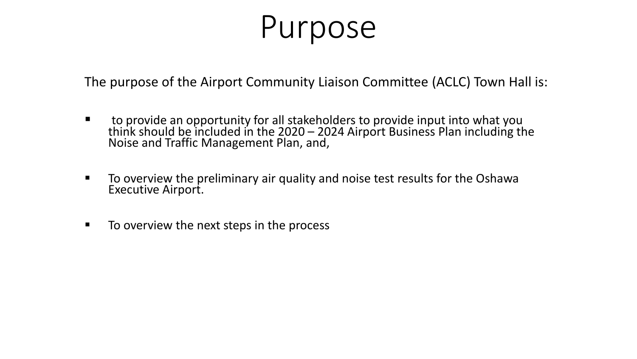# Purpose

The purpose of the Airport Community Liaison Committee (ACLC) Town Hall is:

- to provide an opportunity for all stakeholders to provide input into what you think should be included in the 2020 – 2024 Airport Business Plan including the<br>Noise and Traffic Management Plan, and,
- To overview the preliminary air quality and noise test results for the Oshawa Executive Airport.
- To overview the next steps in the process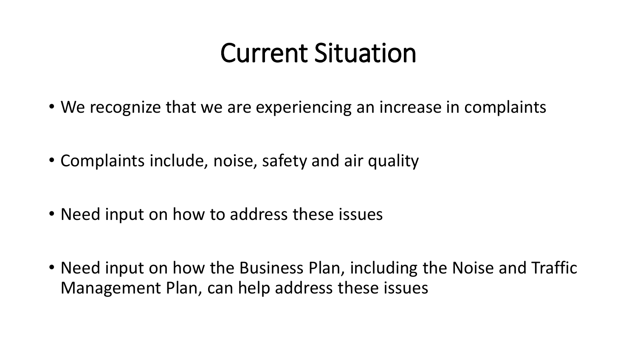#### Current Situation

- We recognize that we are experiencing an increase in complaints
- Complaints include, noise, safety and air quality
- Need input on how to address these issues
- Need input on how the Business Plan, including the Noise and Traffic Management Plan, can help address these issues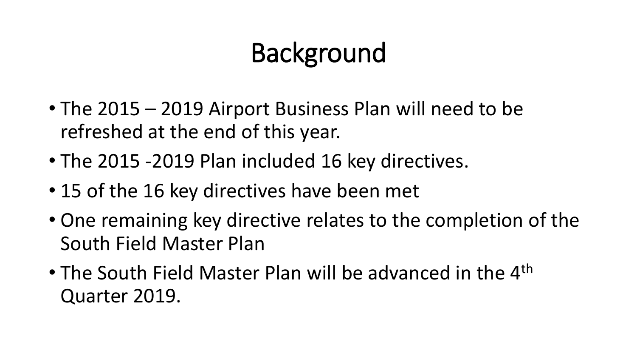## Background

- The 2015 2019 Airport Business Plan will need to be refreshed at the end of this year.
- The 2015 -2019 Plan included 16 key directives.
- 15 of the 16 key directives have been met
- One remaining key directive relates to the completion of the South Field Master Plan
- The South Field Master Plan will be advanced in the 4<sup>th</sup> Quarter 2019.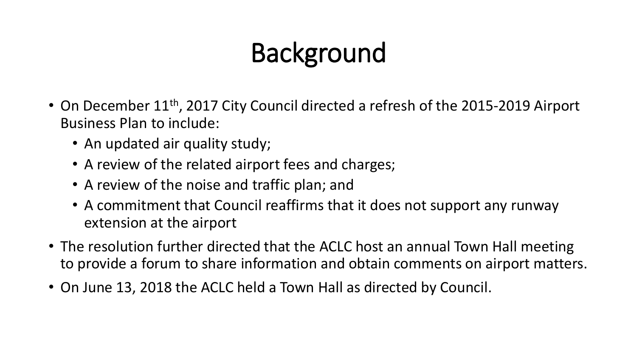## Background

- On December 11<sup>th</sup>, 2017 City Council directed a refresh of the 2015-2019 Airport Business Plan to include:
	- An updated air quality study;
	- A review of the related airport fees and charges;
	- A review of the noise and traffic plan; and
	- A commitment that Council reaffirms that it does not support any runway extension at the airport
- The resolution further directed that the ACLC host an annual Town Hall meeting to provide a forum to share information and obtain comments on airport matters.
- On June 13, 2018 the ACLC held a Town Hall as directed by Council.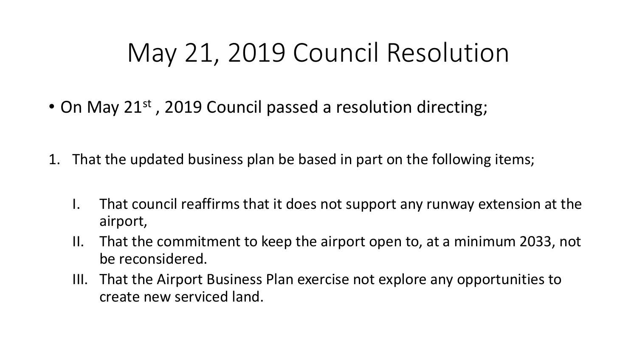#### May 21, 2019 Council Resolution

- On May 21<sup>st</sup>, 2019 Council passed a resolution directing;
- 1. That the updated business plan be based in part on the following items;
	- I. That council reaffirms that it does not support any runway extension at the airport,
	- II. That the commitment to keep the airport open to, at a minimum 2033, not be reconsidered.
	- III. That the Airport Business Plan exercise not explore any opportunities to create new serviced land.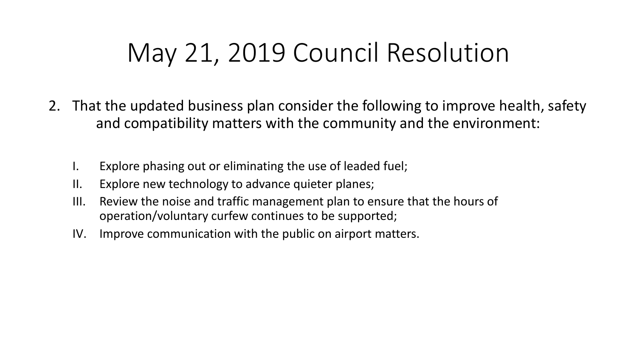#### May 21, 2019 Council Resolution

- 2. That the updated business plan consider the following to improve health, safety and compatibility matters with the community and the environment:
	- I. Explore phasing out or eliminating the use of leaded fuel;
	- II. Explore new technology to advance quieter planes;
	- III. Review the noise and traffic management plan to ensure that the hours of operation/voluntary curfew continues to be supported;
	- IV. Improve communication with the public on airport matters.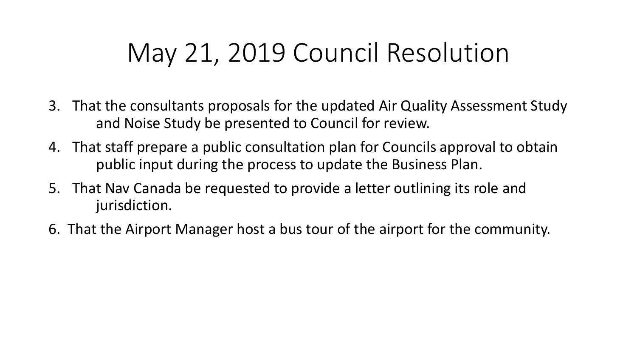#### May 21, 2019 Council Resolution

- 3. That the consultants proposals for the updated Air Quality Assessment Study and Noise Study be presented to Council for review.
- 4. That staff prepare a public consultation plan for Councils approval to obtain public input during the process to update the Business Plan.
- 5. That Nav Canada be requested to provide a letter outlining its role and jurisdiction.
- 6. That the Airport Manager host a bus tour of the airport for the community.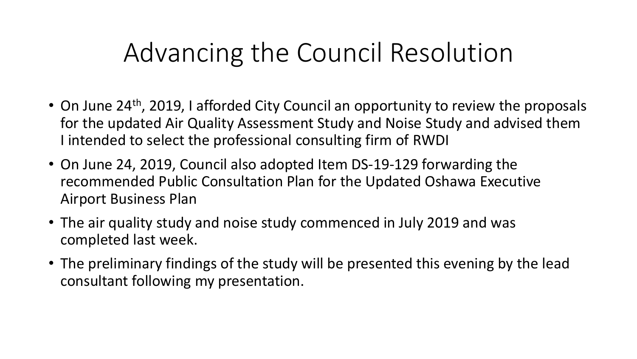#### Advancing the Council Resolution

- On June 24<sup>th</sup>, 2019, I afforded City Council an opportunity to review the proposals for the updated Air Quality Assessment Study and Noise Study and advised them I intended to select the professional consulting firm of RWDI
- On June 24, 2019, Council also adopted Item DS-19-129 forwarding the recommended Public Consultation Plan for the Updated Oshawa Executive Airport Business Plan
- The air quality study and noise study commenced in July 2019 and was completed last week.
- The preliminary findings of the study will be presented this evening by the lead consultant following my presentation.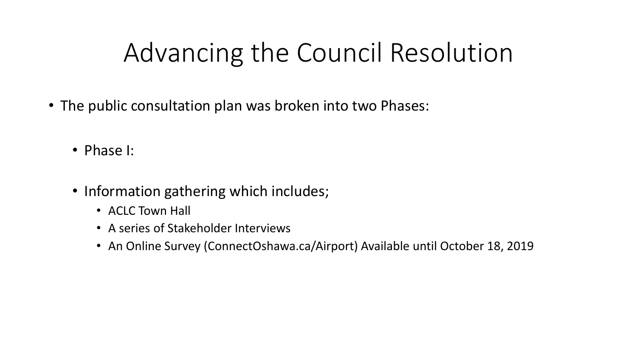### Advancing the Council Resolution

- The public consultation plan was broken into two Phases:
	- Phase I:
	- Information gathering which includes;
		- ACLC Town Hall
		- A series of Stakeholder Interviews
		- An Online Survey (ConnectOshawa.ca/Airport) Available until October 18, 2019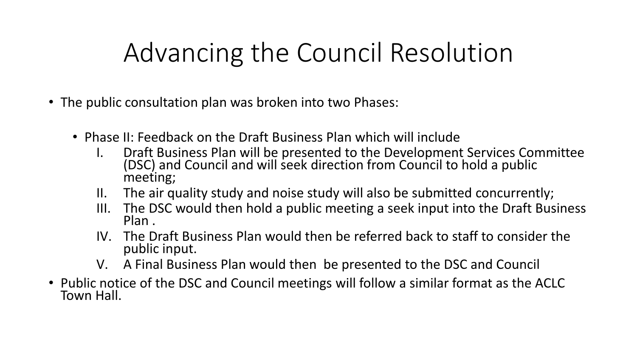### Advancing the Council Resolution

- The public consultation plan was broken into two Phases:
	- Phase II: Feedback on the Draft Business Plan which will include
		- I. Draft Business Plan will be presented to the Development Services Committee (DSC) and Council and will seek direction from Council to hold a public meeting;
		- II. The air quality study and noise study will also be submitted concurrently;
		- III. The DSC would then hold a public meeting a seek input into the Draft Business Plan .
		- IV. The Draft Business Plan would then be referred back to staff to consider the public input.
		- V. A Final Business Plan would then be presented to the DSC and Council
- Public notice of the DSC and Council meetings will follow a similar format as the ACLC Town Hall.